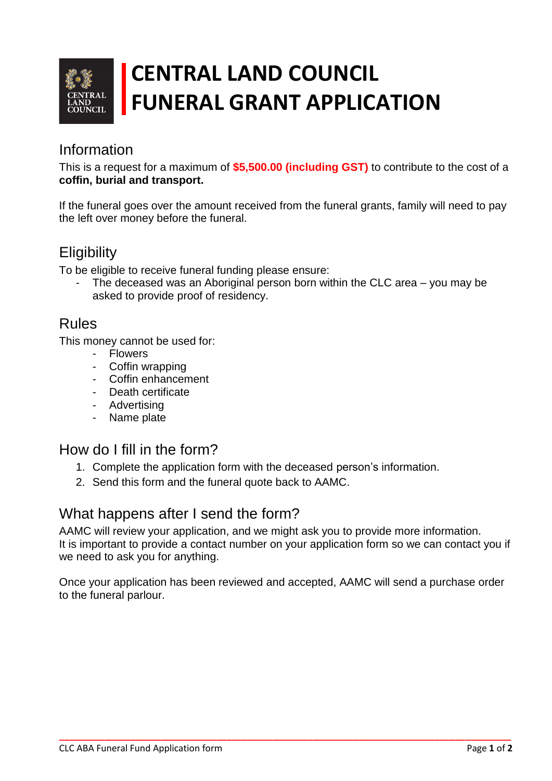

# **CENTRAL LAND COUNCIL FUNERAL GRANT APPLICATION**

## Information

This is a request for a maximum of **\$5,500.00 (including GST)** to contribute to the cost of a **coffin, burial and transport.**

If the funeral goes over the amount received from the funeral grants, family will need to pay the left over money before the funeral.

## **Eligibility**

To be eligible to receive funeral funding please ensure:

The deceased was an Aboriginal person born within the CLC area – you may be asked to provide proof of residency.

#### Rules

This money cannot be used for:

- Flowers
- Coffin wrapping
- Coffin enhancement
- Death certificate
- Advertising
- Name plate

## How do I fill in the form?

- 1. Complete the application form with the deceased person's information.
- 2. Send this form and the funeral quote back to AAMC.

#### What happens after I send the form?

AAMC will review your application, and we might ask you to provide more information. It is important to provide a contact number on your application form so we can contact you if we need to ask you for anything.

Once your application has been reviewed and accepted, AAMC will send a purchase order to the funeral parlour.

**\_\_\_\_\_\_\_\_\_\_\_\_\_\_\_\_\_\_\_\_\_\_\_\_\_\_\_\_\_\_\_\_\_\_\_\_\_\_\_\_\_\_\_\_\_\_\_\_\_\_\_\_\_\_\_\_\_\_\_\_\_\_\_\_\_\_\_\_\_\_\_\_\_\_\_\_\_\_\_\_\_\_\_\_\_\_\_\_\_**